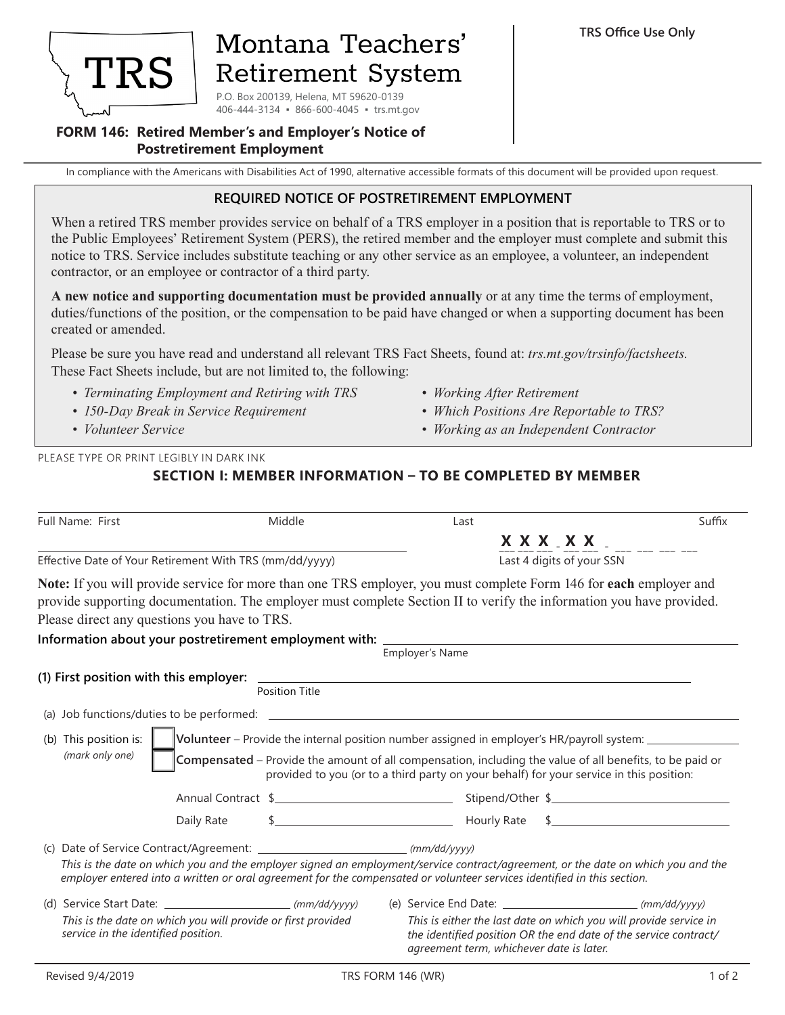

# Montana Teachers' **Retirement System**

P.O. Box 200139, Helena, MT 59620-0139 406-444-3134 ▪ 866-600-4045 ▪ trs.mt.gov

#### **FORM 146: Retired Member's and Employer's Notice of Postretirement Employment**

In compliance with the Americans with Disabilities Act of 1990, alternative accessible formats of this document will be provided upon request.

#### **REQUIRED NOTICE OF POSTRETIREMENT EMPLOYMENT**

When a retired TRS member provides service on behalf of a TRS employer in a position that is reportable to TRS or to the Public Employees' Retirement System (PERS), the retired member and the employer must complete and submit this notice to TRS. Service includes substitute teaching or any other service as an employee, a volunteer, an independent contractor, or an employee or contractor of a third party.

**A new notice and supporting documentation must be provided annually** or at any time the terms of employment, duties/functions of the position, or the compensation to be paid have changed or when a supporting document has been created or amended.

Please be sure you have read and understand all relevant TRS Fact Sheets, found at: *trs.mt.gov/trsinfo/factsheets.*  These Fact Sheets include, but are not limited to, the following:

- *• Terminating Employment and Retiring with TRS*
- *• 150-Day Break in Service Requirement*
- *• Volunteer Service*
- *• Working After Retirement*
- *• Which Positions Are Reportable to TRS?*
- *• Working as an Independent Contractor*

PLEASE TYPE OR PRINT LEGIBLY IN DARK INK

### **SECTION I: MEMBER INFORMATION – TO BE COMPLETED BY MEMBER**

| <b>Full Name: First</b>                                 | Middle                                                       | Last                                                                                                                                                                                                                                                                                              | Suffix      |  |
|---------------------------------------------------------|--------------------------------------------------------------|---------------------------------------------------------------------------------------------------------------------------------------------------------------------------------------------------------------------------------------------------------------------------------------------------|-------------|--|
|                                                         |                                                              |                                                                                                                                                                                                                                                                                                   | X X X X X X |  |
| Effective Date of Your Retirement With TRS (mm/dd/yyyy) |                                                              | Last 4 digits of your SSN                                                                                                                                                                                                                                                                         |             |  |
| Please direct any questions you have to TRS.            |                                                              | <b>Note:</b> If you will provide service for more than one TRS employer, you must complete Form 146 for <b>each</b> employer and<br>provide supporting documentation. The employer must complete Section II to verify the information you have provided.                                          |             |  |
|                                                         |                                                              | Information about your postretirement employment with: $\frac{1}{\text{Employer's Name}}$                                                                                                                                                                                                         |             |  |
|                                                         | <b>Position Title</b>                                        |                                                                                                                                                                                                                                                                                                   |             |  |
|                                                         |                                                              |                                                                                                                                                                                                                                                                                                   |             |  |
| (b) This position is:<br>(mark only one)                |                                                              | Volunteer - Provide the internal position number assigned in employer's HR/payroll system:<br>Compensated - Provide the amount of all compensation, including the value of all benefits, to be paid or<br>provided to you (or to a third party on your behalf) for your service in this position: |             |  |
|                                                         |                                                              |                                                                                                                                                                                                                                                                                                   |             |  |
|                                                         |                                                              | This is the date on which you and the employer signed an employment/service contract/agreement, or the date on which you and the<br>employer entered into a written or oral agreement for the compensated or volunteer services identified in this section.                                       |             |  |
| service in the identified position.                     | This is the date on which you will provide or first provided | This is either the last date on which you will provide service in<br>the identified position OR the end date of the service contract/<br>agreement term, whichever date is later.                                                                                                                 |             |  |